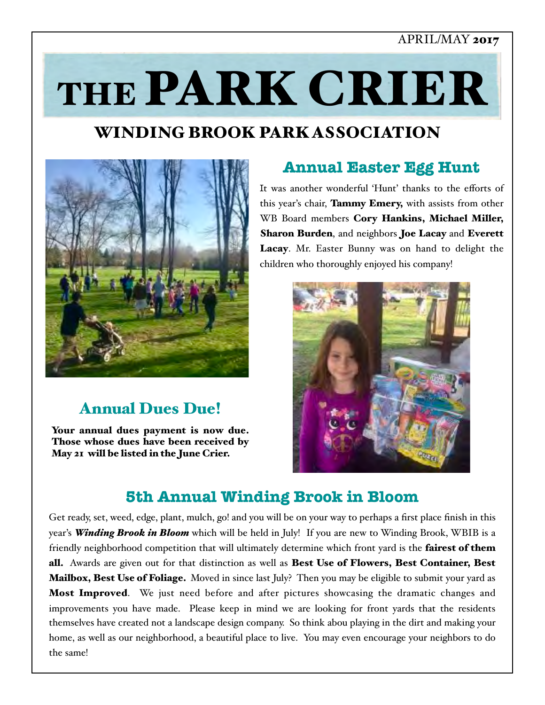## APRIL/MAY 2017

# THE PARK CRIER

# WINDING BROOK PARK ASSOCIATION



# Annual Dues Due!

Your annual dues payment is now due. Those whose dues have been received by May 21 will be listed in the June Crier.

# **Annual Easter Egg Hunt**

It was another wonderful 'Hunt' thanks to the efforts of this year's chair, Tammy Emery, with assists from other WB Board members Cory Hankins, Michael Miller, Sharon Burden, and neighbors Joe Lacay and Everett Lacay. Mr. Easter Bunny was on hand to delight the children who thoroughly enjoyed his company!



# **5th Annual Winding Brook in Bloom**

Get ready, set, weed, edge, plant, mulch, go! and you will be on your way to perhaps a first place finish in this year's *Winding Brook in Bloom* which will be held in July! If you are new to Winding Brook, WBIB is a friendly neighborhood competition that will ultimately determine which front yard is the fairest of them all. Awards are given out for that distinction as well as Best Use of Flowers, Best Container, Best **Mailbox, Best Use of Foliage.** Moved in since last July? Then you may be eligible to submit your yard as **Most Improved.** We just need before and after pictures showcasing the dramatic changes and improvements you have made. Please keep in mind we are looking for front yards that the residents themselves have created not a landscape design company. So think abou playing in the dirt and making your home, as well as our neighborhood, a beautiful place to live. You may even encourage your neighbors to do the same!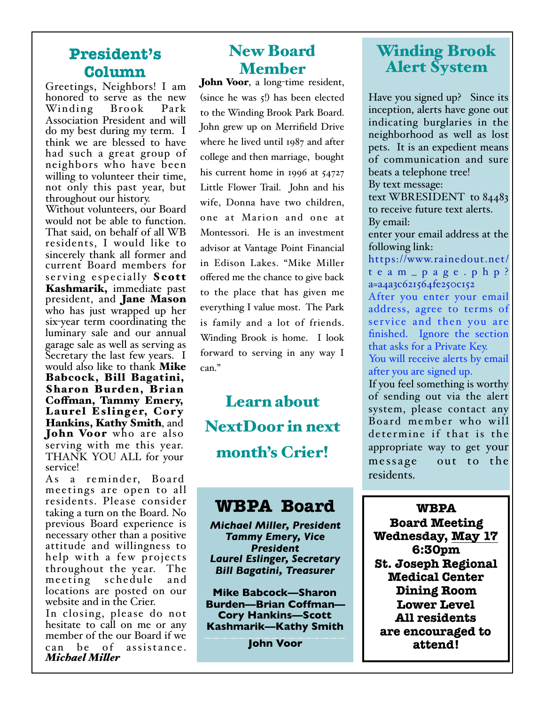## **President's Column**

Greetings, Neighbors! I am honored to serve as the new<br>Winding Brook Park Winding Association President and will do my best during my term. I think we are blessed to have had such a great group of neighbors who have been willing to volunteer their time, not only this past year, but throughout our history.

Without volunteers, our Board would not be able to function. That said, on behalf of all WB residents, I would like to sincerely thank all former and current Board members for serving especially Scott Kashmarik, immediate past president, and **Jane Mason** who has just wrapped up her six-year term coordinating the luminary sale and our annual garage sale as well as serving as Secretary the last few years. I would also like to thank Mike Babcock, Bill Bagatini, Sharon Burden, Brian<br>Coffman, Tammy Emery, Laurel Eslinger, Cory Hankins, Kathy Smith, and **John Voor** who are also serving with me this year. THANK YOU ALL for your service!

As a reminder, Board meetings are open to all residents. Please consider taking a turn on the Board. No previous Board experience is necessary other than a positive attitude and willingness to help with a few projects throughout the year. The meeting schedule locations are posted on our website and in the Crier.

In closing, please do not hesitate to call on me or any member of the our Board if we can be of assistance. *Michael Miler*

# New Board Member

John Voor, a long-time resident, (since he was 5!) has been elected to the Winding Brook Park Board. John grew up on Merrifield Drive where he lived until 1987 and after college and then marriage, bought his current home in 1996 at 54727 Little Flower Trail. John and his wife, Donna have two children, one at Marion and one at Montessori. He is an investment advisor at Vantage Point Financial in Edison Lakes. "Mike Miller offered me the chance to give back to the place that has given me everything I value most. The Park is family and a lot of friends. Winding Brook is home. I look forward to serving in any way I can."

Learn about NextDoor in next month's Crier!

# **WBPA Board**

*Michael Miller, President Tammy Emery, Vice President Laurel Eslinger, Secretary Bill Bagatini, Treasurer*

**Mike Babcock—Sharon Burden—Brian Coffman— Cory Hankins—Scott Kashmarik—Kathy Smith**

**John Voor**

# Winding Brook Alert System

Have you signed up? Since its inception, alerts have gone out indicating burglaries in the neighborhood as well as lost pets. It is an expedient means of communication and sure beats a telephone tree! By text message:

text WBRESIDENT to 84483 to receive future text alerts. By email:

enter your email address at the following link:

https://www.rainedout.net/ [team\\_page.php?](https://www.rainedout.net/team_page.php?a=a4a3c621564fe250c152) [a=a4a3c621564fe250c152](https://www.rainedout.net/team_page.php?a=a4a3c621564fe250c152) After you enter your email address, agree to terms of service and then you are finished. Ignore the section that asks for a Private Key. You will receive alerts by email

after you are signed up. If you feel something is worthy of sending out via the alert system, please contact any Board member who will determine if that is the appropriate way to get your message out to the residents.

 **WBPA Board Meeting Wednesday, May 17 6:30pm St. Joseph Regional Medical Center Dining Room Lower Level All residents are encouraged to attend!**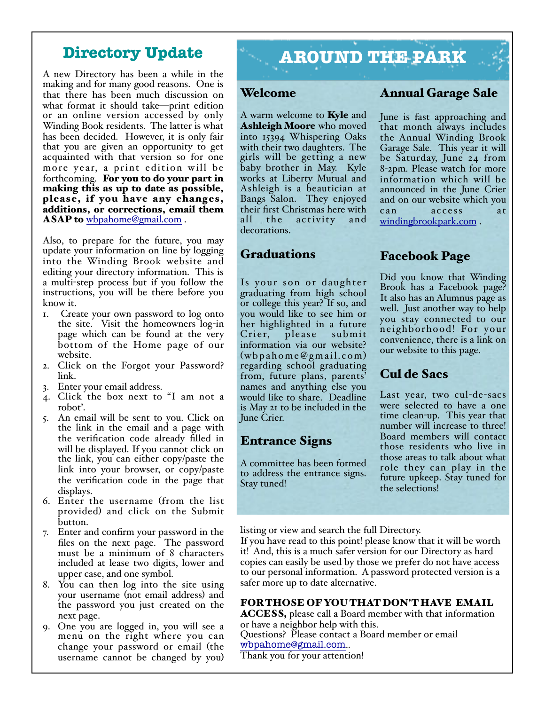## **Directory Update**

A new Directory has been a while in the making and for many good reasons. One is that there has been much discussion on what format it should take—print edition or an online version accessed by only Winding Book residents. The latter is what has been decided. However, it is only fair that you are given an opportunity to get acquainted with that version so for one more year, a print edition will be<br>forthcoming. **For you to do your part in** making this as up to date as possible, please, if you have any changes, additions, or corrections, email them ASAP to [wbpahome@gmail.com](mailto:wbpahome@gmail.com).

Also, to prepare for the future, you may update your information on line by logging into the Winding Brook website and editing your directory information. This is a multi-step process but if you follow the instructions, you will be there before you know it.

- 1. Create your own password to log onto the site. Visit the homeowners log-in page which can be found at the very bottom of the Home page of our website.
- 2. Click on the Forgot your Password? link.
- 3. Enter your email address.
- 4. Click the box next to "I am not a robot'.
- 5. An email will be sent to you. Click on the link in the email and a page with the verification code already filled in will be displayed. If you cannot click on the link, you can either copy/paste the link into your browser, or copy/paste the verification code in the page that displays.
- 6. Enter the username (from the list provided) and click on the Submit button.
- 7. Enter and confirm your password in the files on the next page. The password must be a minimum of 8 characters included at lease two digits, lower and upper case, and one symbol.
- 8. You can then log into the site using your username (not email address) and the password you just created on the next page.
- 9. One you are logged in, you will see a menu on the right where you can change your password or email (the username cannot be changed by you)

# **AROUND THE PARK**

### Welcome

A warm welcome to **Kyle** and Ashleigh Moore who moved into 15394 Whispering Oaks with their two daughters. The girls will be getting a new baby brother in May. Kyle works at Liberty Mutual and Ashleigh is a beautician at Bangs Salon. They enjoyed their first Christmas here with all the activity and decorations.

## Graduations

Is your son or daughter graduating from high school or college this year? If so, and you would like to see him or her highlighted in a future<br>Crier, please submit Crier, please information via our website?  $(wbpabomeQgmail.com)$ regarding school graduating from, future plans, parents' names and anything else you would like to share. Deadline is May 21 to be included in the June Crier.

## Entrance Signs

A committee has been formed to address the entrance signs. Stay tuned!

## Annual Garage Sale

June is fast approaching and that month always includes the Annual Winding Brook Garage Sale. This year it will be Saturday, June 24 from 8-2pm. Please watch for more information which will be announced in the June Crier and on our website which you can access at [windingbrookpark.com](http://windingbrookpark.com) .

## Facebook Page

Did you know that Winding Brook has a Facebook page? It also has an Alumnus page as well. Just another way to help you stay connected to our neighborhood! For your convenience, there is a link on our website to this page.

## Cul de Sacs

Last year, two cul-de-sacs were selected to have a one time clean-up. This year that number will increase to three! Board members will contact those residents who live in those areas to talk about what role they can play in the future upkeep. Stay tuned for the selections!

listing or view and search the full Directory.

If you have read to this point! please know that it will be worth it! And, this is a much safer version for our Directory as hard copies can easily be used by those we prefer do not have access to our personal information. A password protected version is a safer more up to date alternative.

#### FOR THOSE OF YOU THAT DON'T HAVE EMAIL

ACCESS, please call a Board member with that information or have a neighbor help with this. Questions? Please contact a Board member or email

[wbpahome@gmail.com](mailto:wbpahome@gmail.com)..

Thank you for your attention!